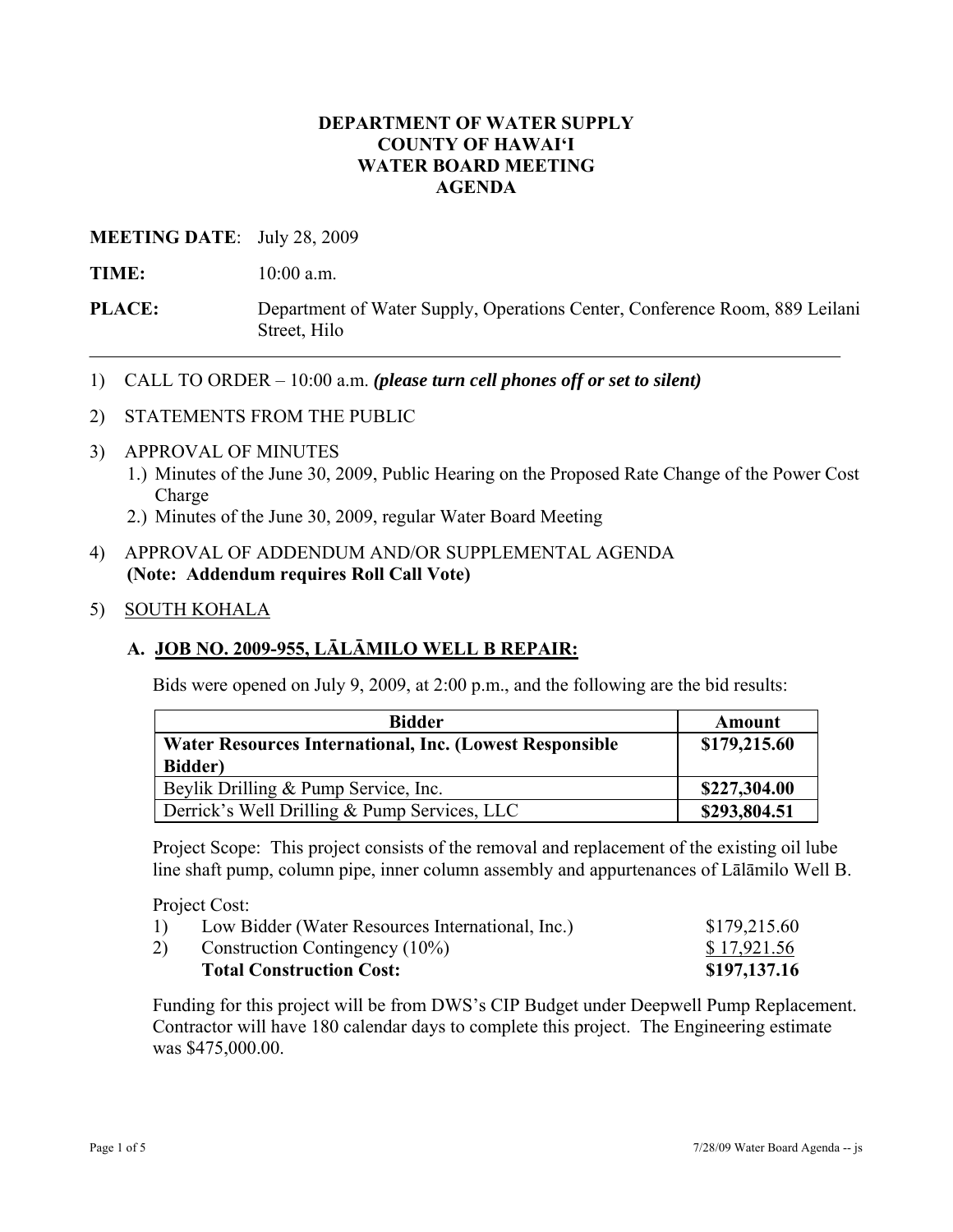### **DEPARTMENT OF WATER SUPPLY COUNTY OF HAWAI'I WATER BOARD MEETING AGENDA**

### **MEETING DATE**: July 28, 2009

**TIME:** 10:00 a.m.

- **PLACE:** Department of Water Supply, Operations Center, Conference Room, 889 Leilani Street, Hilo
- 1) CALL TO ORDER 10:00 a.m. *(please turn cell phones off or set to silent)*
- 2) STATEMENTS FROM THE PUBLIC
- 3) APPROVAL OF MINUTES
	- 1.) Minutes of the June 30, 2009, Public Hearing on the Proposed Rate Change of the Power Cost Charge
	- 2.) Minutes of the June 30, 2009, regular Water Board Meeting

### 4) APPROVAL OF ADDENDUM AND/OR SUPPLEMENTAL AGENDA **(Note: Addendum requires Roll Call Vote)**

5) SOUTH KOHALA

# **A. JOB NO. 2009-955, LĀLĀMILO WELL B REPAIR:**

Bids were opened on July 9, 2009, at 2:00 p.m., and the following are the bid results:

| <b>Bidder</b>                                           | Amount       |
|---------------------------------------------------------|--------------|
| Water Resources International, Inc. (Lowest Responsible | \$179,215.60 |
| <b>Bidder</b> )                                         |              |
| Beylik Drilling & Pump Service, Inc.                    | \$227,304.00 |
| Derrick's Well Drilling & Pump Services, LLC            | \$293,804.51 |

Project Scope: This project consists of the removal and replacement of the existing oil lube line shaft pump, column pipe, inner column assembly and appurtenances of Lālāmilo Well B.

Project Cost:

|    | <b>Total Construction Cost:</b>                  | \$197,137.16 |
|----|--------------------------------------------------|--------------|
| 2) | Construction Contingency $(10\%)$                | \$17,921.56  |
| 1) | Low Bidder (Water Resources International, Inc.) | \$179,215.60 |

Funding for this project will be from DWS's CIP Budget under Deepwell Pump Replacement. Contractor will have 180 calendar days to complete this project. The Engineering estimate was \$475,000.00.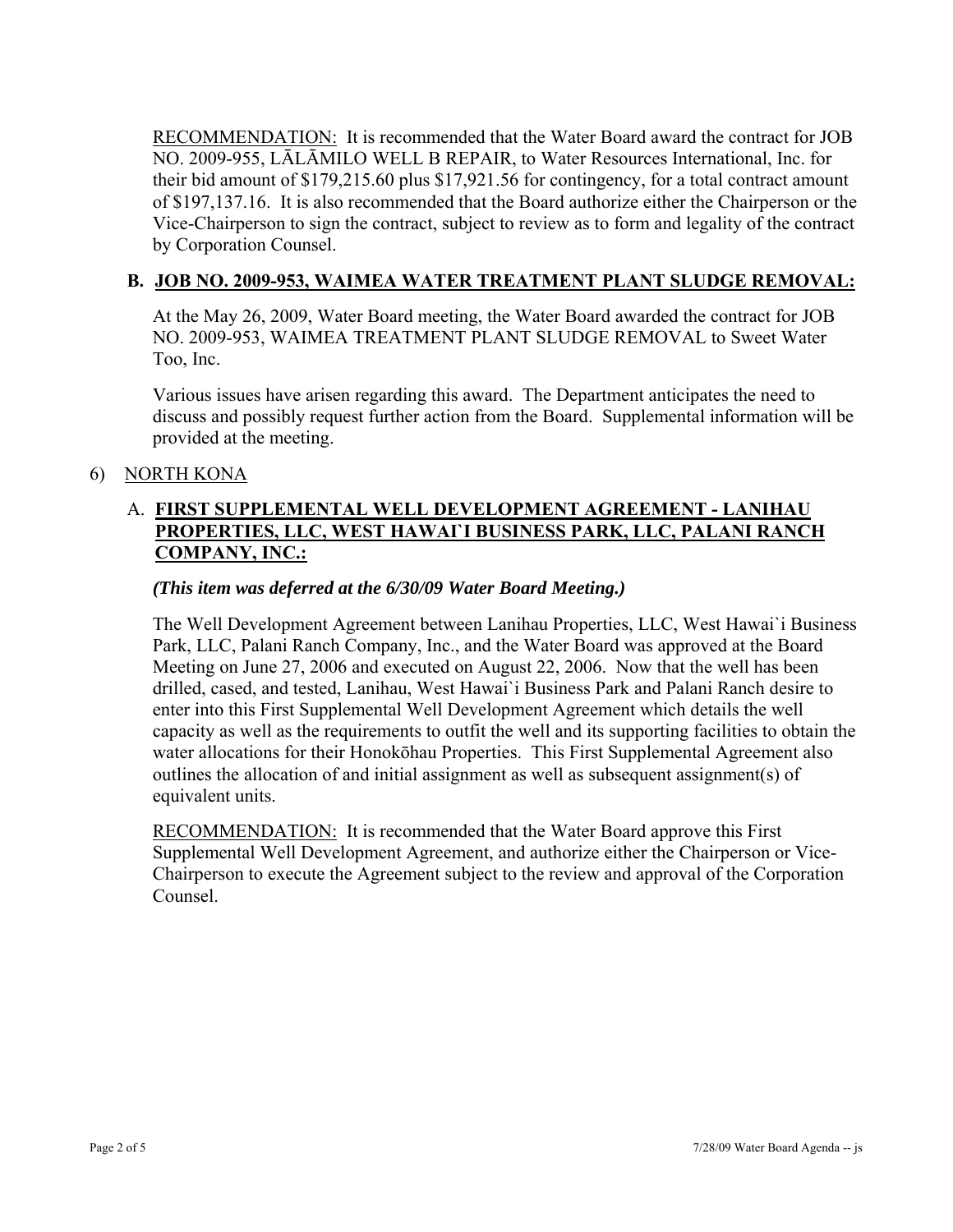RECOMMENDATION: It is recommended that the Water Board award the contract for JOB NO. 2009-955, LĀLĀMILO WELL B REPAIR, to Water Resources International, Inc. for their bid amount of \$179,215.60 plus \$17,921.56 for contingency, for a total contract amount of \$197,137.16. It is also recommended that the Board authorize either the Chairperson or the Vice-Chairperson to sign the contract, subject to review as to form and legality of the contract by Corporation Counsel.

### **B. JOB NO. 2009-953, WAIMEA WATER TREATMENT PLANT SLUDGE REMOVAL:**

At the May 26, 2009, Water Board meeting, the Water Board awarded the contract for JOB NO. 2009-953, WAIMEA TREATMENT PLANT SLUDGE REMOVAL to Sweet Water Too, Inc.

Various issues have arisen regarding this award. The Department anticipates the need to discuss and possibly request further action from the Board. Supplemental information will be provided at the meeting.

# 6) NORTH KONA

# A. **FIRST SUPPLEMENTAL WELL DEVELOPMENT AGREEMENT - LANIHAU PROPERTIES, LLC, WEST HAWAI`I BUSINESS PARK, LLC, PALANI RANCH COMPANY, INC.:**

### *(This item was deferred at the 6/30/09 Water Board Meeting.)*

The Well Development Agreement between Lanihau Properties, LLC, West Hawai`i Business Park, LLC, Palani Ranch Company, Inc., and the Water Board was approved at the Board Meeting on June 27, 2006 and executed on August 22, 2006. Now that the well has been drilled, cased, and tested, Lanihau, West Hawai`i Business Park and Palani Ranch desire to enter into this First Supplemental Well Development Agreement which details the well capacity as well as the requirements to outfit the well and its supporting facilities to obtain the water allocations for their Honokōhau Properties. This First Supplemental Agreement also outlines the allocation of and initial assignment as well as subsequent assignment(s) of equivalent units.

RECOMMENDATION: It is recommended that the Water Board approve this First Supplemental Well Development Agreement, and authorize either the Chairperson or Vice-Chairperson to execute the Agreement subject to the review and approval of the Corporation Counsel.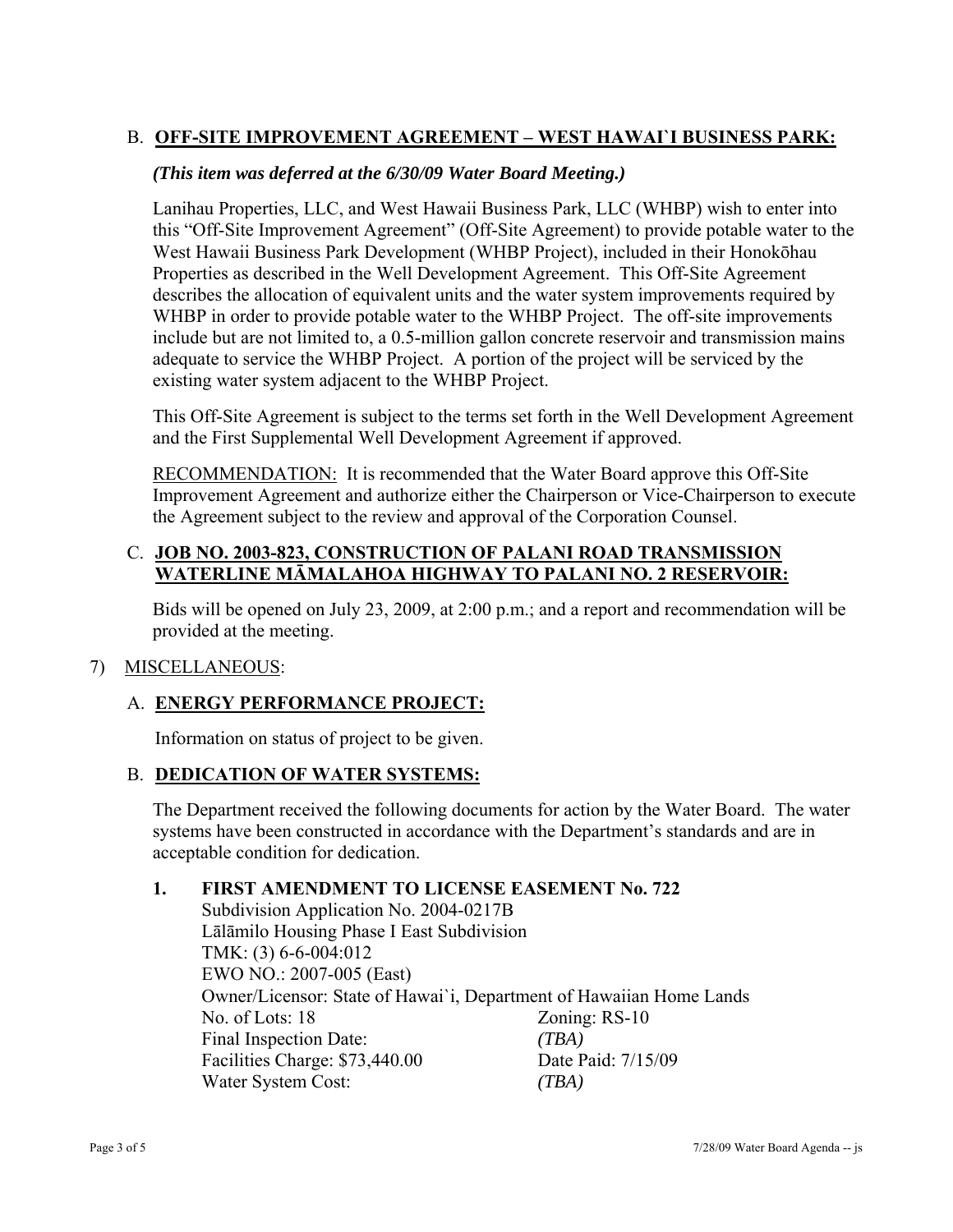# B. **OFF-SITE IMPROVEMENT AGREEMENT – WEST HAWAI`I BUSINESS PARK:**

### *(This item was deferred at the 6/30/09 Water Board Meeting.)*

Lanihau Properties, LLC, and West Hawaii Business Park, LLC (WHBP) wish to enter into this "Off-Site Improvement Agreement" (Off-Site Agreement) to provide potable water to the West Hawaii Business Park Development (WHBP Project), included in their Honokōhau Properties as described in the Well Development Agreement. This Off-Site Agreement describes the allocation of equivalent units and the water system improvements required by WHBP in order to provide potable water to the WHBP Project. The off-site improvements include but are not limited to, a 0.5-million gallon concrete reservoir and transmission mains adequate to service the WHBP Project. A portion of the project will be serviced by the existing water system adjacent to the WHBP Project.

This Off-Site Agreement is subject to the terms set forth in the Well Development Agreement and the First Supplemental Well Development Agreement if approved.

RECOMMENDATION: It is recommended that the Water Board approve this Off-Site Improvement Agreement and authorize either the Chairperson or Vice-Chairperson to execute the Agreement subject to the review and approval of the Corporation Counsel.

### C. **JOB NO. 2003-823, CONSTRUCTION OF PALANI ROAD TRANSMISSION WATERLINE MĀMALAHOA HIGHWAY TO PALANI NO. 2 RESERVOIR:**

Bids will be opened on July 23, 2009, at 2:00 p.m.; and a report and recommendation will be provided at the meeting.

#### 7) MISCELLANEOUS:

# A. **ENERGY PERFORMANCE PROJECT:**

Information on status of project to be given.

#### B. **DEDICATION OF WATER SYSTEMS:**

The Department received the following documents for action by the Water Board. The water systems have been constructed in accordance with the Department's standards and are in acceptable condition for dedication.

#### **1. FIRST AMENDMENT TO LICENSE EASEMENT No. 722**

 Subdivision Application No. 2004-0217B Lālāmilo Housing Phase I East Subdivision TMK: (3) 6-6-004:012 EWO NO.: 2007-005 (East) Owner/Licensor: State of Hawai`i, Department of Hawaiian Home Lands No. of Lots: 18 Zoning: RS-10 Final Inspection Date: *(TBA)*  Facilities Charge: \$73,440.00 Date Paid: 7/15/09 Water System Cost: *(TBA)*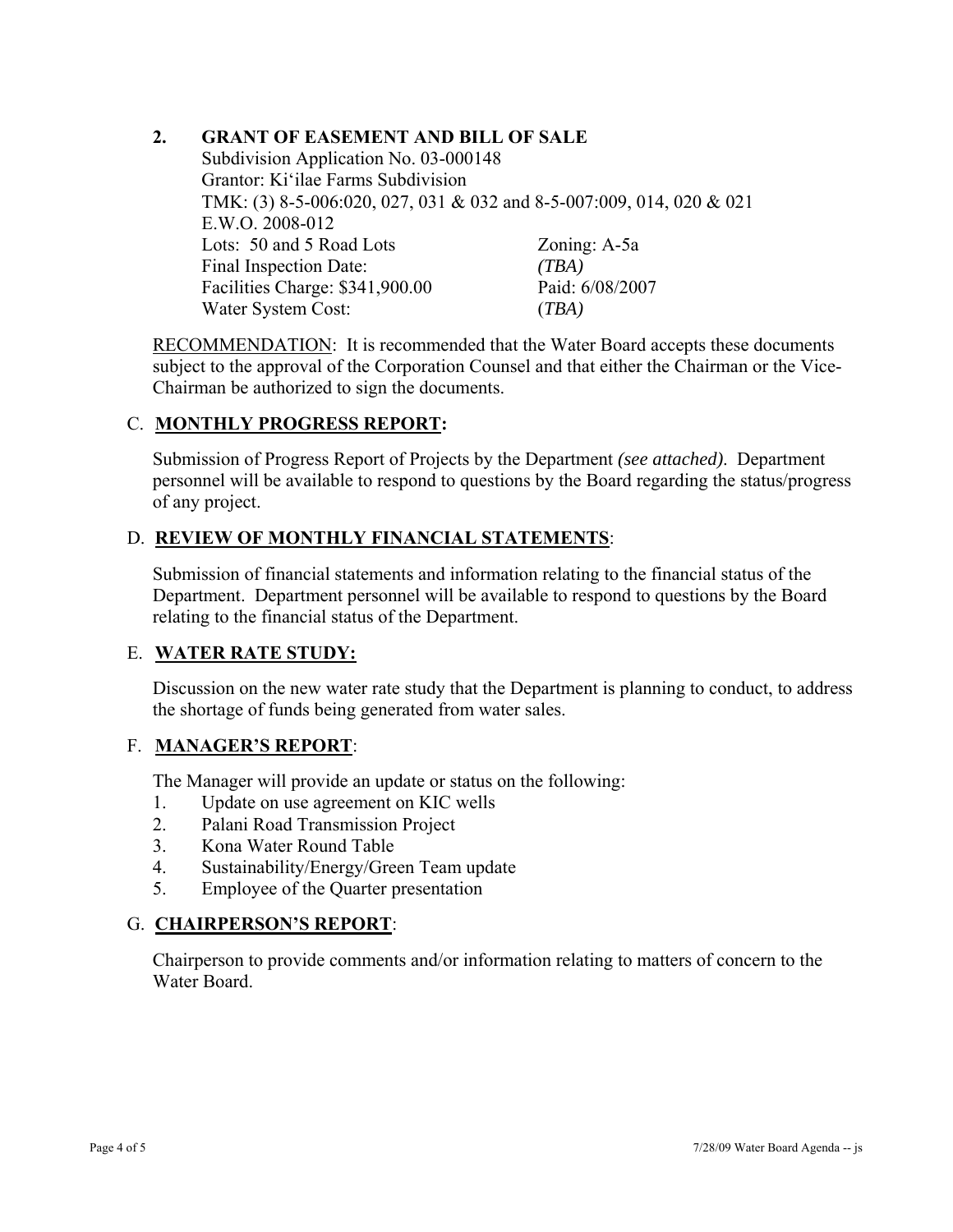## **2. GRANT OF EASEMENT AND BILL OF SALE**

Subdivision Application No. 03-000148 Grantor: Ki'ilae Farms Subdivision TMK: (3) 8-5-006:020, 027, 031 & 032 and 8-5-007:009, 014, 020 & 021 E.W.O. 2008-012 Lots: 50 and 5 Road Lots Zoning: A-5a Final Inspection Date: *(TBA)* Facilities Charge: \$341,900.00 Paid: 6/08/2007 Water System Cost: (*TBA)*

RECOMMENDATION: It is recommended that the Water Board accepts these documents subject to the approval of the Corporation Counsel and that either the Chairman or the Vice-Chairman be authorized to sign the documents.

# C. **MONTHLY PROGRESS REPORT:**

Submission of Progress Report of Projects by the Department *(see attached)*. Department personnel will be available to respond to questions by the Board regarding the status/progress of any project.

#### D. **REVIEW OF MONTHLY FINANCIAL STATEMENTS**:

Submission of financial statements and information relating to the financial status of the Department. Department personnel will be available to respond to questions by the Board relating to the financial status of the Department.

#### E. **WATER RATE STUDY:**

Discussion on the new water rate study that the Department is planning to conduct, to address the shortage of funds being generated from water sales.

#### F. **MANAGER'S REPORT**:

The Manager will provide an update or status on the following:

- 1. Update on use agreement on KIC wells
- 2. Palani Road Transmission Project
- 3. Kona Water Round Table
- 4. Sustainability/Energy/Green Team update
- 5. Employee of the Quarter presentation

#### G. **CHAIRPERSON'S REPORT**:

Chairperson to provide comments and/or information relating to matters of concern to the Water Board.